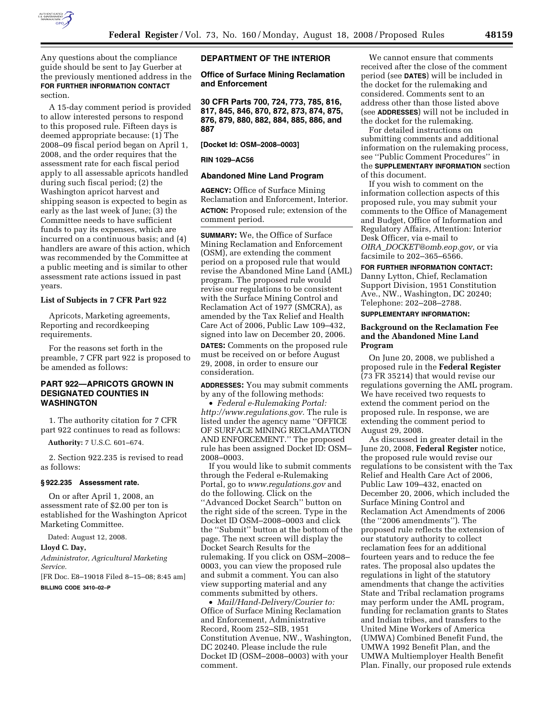

Any questions about the compliance guide should be sent to Jay Guerber at the previously mentioned address in the **FOR FURTHER INFORMATION CONTACT** section.

A 15-day comment period is provided to allow interested persons to respond to this proposed rule. Fifteen days is deemed appropriate because: (1) The 2008–09 fiscal period began on April 1, 2008, and the order requires that the assessment rate for each fiscal period apply to all assessable apricots handled during such fiscal period; (2) the Washington apricot harvest and shipping season is expected to begin as early as the last week of June; (3) the Committee needs to have sufficient funds to pay its expenses, which are incurred on a continuous basis; and (4) handlers are aware of this action, which was recommended by the Committee at a public meeting and is similar to other assessment rate actions issued in past years.

## **List of Subjects in 7 CFR Part 922**

Apricots, Marketing agreements, Reporting and recordkeeping requirements.

For the reasons set forth in the preamble, 7 CFR part 922 is proposed to be amended as follows:

# **PART 922—APRICOTS GROWN IN DESIGNATED COUNTIES IN WASHINGTON**

1. The authority citation for 7 CFR part 922 continues to read as follows:

**Authority:** 7 U.S.C. 601–674.

2. Section 922.235 is revised to read as follows:

### **§ 922.235 Assessment rate.**

On or after April 1, 2008, an assessment rate of \$2.00 per ton is established for the Washington Apricot Marketing Committee.

Dated: August 12, 2008.

# **Lloyd C. Day,**

*Administrator, Agricultural Marketing Service.* 

[FR Doc. E8–19018 Filed 8–15–08; 8:45 am] **BILLING CODE 3410–02–P** 

#### **DEPARTMENT OF THE INTERIOR**

## **Office of Surface Mining Reclamation and Enforcement**

**30 CFR Parts 700, 724, 773, 785, 816, 817, 845, 846, 870, 872, 873, 874, 875, 876, 879, 880, 882, 884, 885, 886, and 887** 

### **[Docket Id: OSM–2008–0003]**

# **RIN 1029–AC56**

### **Abandoned Mine Land Program**

**AGENCY:** Office of Surface Mining Reclamation and Enforcement, Interior. **ACTION:** Proposed rule; extension of the comment period.

**SUMMARY:** We, the Office of Surface Mining Reclamation and Enforcement (OSM), are extending the comment period on a proposed rule that would revise the Abandoned Mine Land (AML) program. The proposed rule would revise our regulations to be consistent with the Surface Mining Control and Reclamation Act of 1977 (SMCRA), as amended by the Tax Relief and Health Care Act of 2006, Public Law 109–432, signed into law on December 20, 2006.

**DATES:** Comments on the proposed rule must be received on or before August 29, 2008, in order to ensure our consideration.

**ADDRESSES:** You may submit comments by any of the following methods:

• *Federal e-Rulemaking Portal: http://www.regulations.gov.* The rule is listed under the agency name ''OFFICE OF SURFACE MINING RECLAMATION AND ENFORCEMENT.'' The proposed rule has been assigned Docket ID: OSM– 2008–0003.

If you would like to submit comments through the Federal e-Rulemaking Portal, go to *www.regulations.gov* and do the following. Click on the ''Advanced Docket Search'' button on the right side of the screen. Type in the Docket ID OSM–2008–0003 and click the ''Submit'' button at the bottom of the page. The next screen will display the Docket Search Results for the rulemaking. If you click on OSM–2008– 0003, you can view the proposed rule and submit a comment. You can also view supporting material and any comments submitted by others.

• *Mail/Hand-Delivery/Courier to:*  Office of Surface Mining Reclamation and Enforcement, Administrative Record, Room 252–SIB, 1951 Constitution Avenue, NW., Washington, DC 20240. Please include the rule Docket ID (OSM–2008–0003) with your comment.

We cannot ensure that comments received after the close of the comment period (see **DATES**) will be included in the docket for the rulemaking and considered. Comments sent to an address other than those listed above (see **ADDRESSES**) will not be included in the docket for the rulemaking.

For detailed instructions on submitting comments and additional information on the rulemaking process, see ''Public Comment Procedures'' in the **SUPPLEMENTARY INFORMATION** section of this document.

If you wish to comment on the information collection aspects of this proposed rule, you may submit your comments to the Office of Management and Budget, Office of Information and Regulatory Affairs, Attention: Interior Desk Officer, via e-mail to *OIRA*\_*DOCKET@omb.eop.gov*, or via facsimile to 202–365–6566.

**FOR FURTHER INFORMATION CONTACT:**  Danny Lytton, Chief, Reclamation Support Division, 1951 Constitution Ave., NW., Washington, DC 20240; Telephone: 202–208–2788.

**SUPPLEMENTARY INFORMATION:** 

# **Background on the Reclamation Fee and the Abandoned Mine Land Program**

On June 20, 2008, we published a proposed rule in the **Federal Register**  (73 FR 35214) that would revise our regulations governing the AML program. We have received two requests to extend the comment period on the proposed rule. In response, we are extending the comment period to August 29, 2008.

As discussed in greater detail in the June 20, 2008, **Federal Register** notice, the proposed rule would revise our regulations to be consistent with the Tax Relief and Health Care Act of 2006, Public Law 109–432, enacted on December 20, 2006, which included the Surface Mining Control and Reclamation Act Amendments of 2006 (the ''2006 amendments''). The proposed rule reflects the extension of our statutory authority to collect reclamation fees for an additional fourteen years and to reduce the fee rates. The proposal also updates the regulations in light of the statutory amendments that change the activities State and Tribal reclamation programs may perform under the AML program, funding for reclamation grants to States and Indian tribes, and transfers to the United Mine Workers of America (UMWA) Combined Benefit Fund, the UMWA 1992 Benefit Plan, and the UMWA Multiemployer Health Benefit Plan. Finally, our proposed rule extends